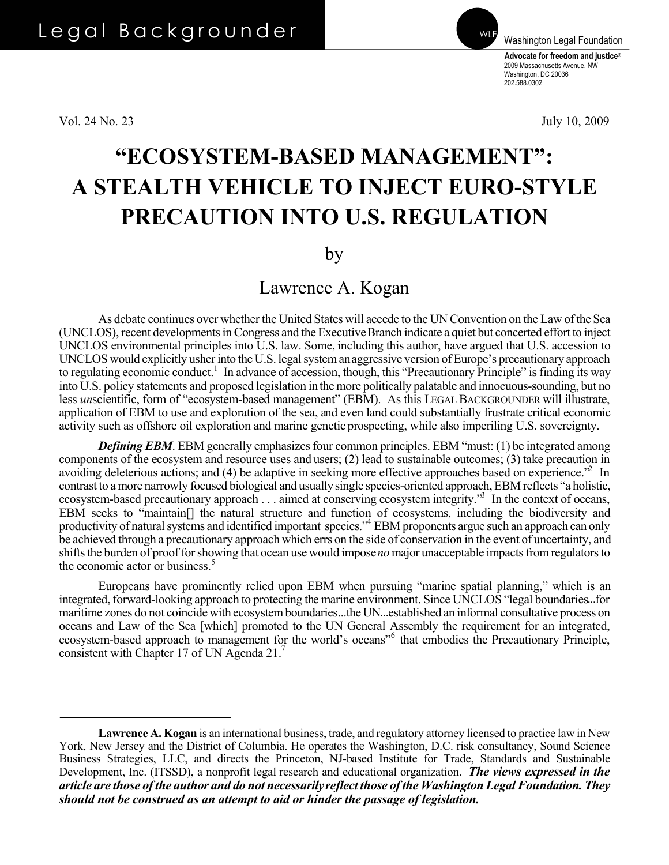Vol. 24 No. 23 July 10, 2009

**Advocate for freedom and justice**®

Washington Legal Foundation

2009 Massachusetts Avenue, NW Washington, DC 20036 202.588.0302

## **"ECOSYSTEM-BASED MANAGEMENT": A STEALTH VEHICLE TO INJECT EURO-STYLE PRECAUTION INTO U.S. REGULATION**

by

Lawrence A. Kogan

As debate continues over whether the United States will accede to the UN Convention on the Law of the Sea (UNCLOS), recent developments in Congress and the Executive Branch indicate a quiet but concerted effort to inject UNCLOS environmental principles into U.S. law. Some, including this author, have argued that U.S. accession to UNCLOS would explicitly usher into the U.S. legal system an aggressive version of Europe's precautionary approach to regulating economic conduct.<sup>[1](#page-2-1)</sup> In advance of accession, though, this "Precautionary Principle" is finding its way into U.S. policy statements and proposed legislation in the more politically palatable and innocuous-sounding, but no less *un*scientific, form of "ecosystem-based management" (EBM). As this LEGAL BACKGROUNDER will illustrate, application of EBM to use and exploration of the sea, and even land could substantially frustrate critical economic activity such as offshore oil exploration and marine genetic prospecting, while also imperiling U.S. sovereignty.

*Defining EBM*. EBM generally emphasizes four common principles. EBM "must: (1) be integrated among components of the ecosystem and resource uses and users; (2) lead to sustainable outcomes; (3) take precaution in avoiding deleterious actions; and (4) be adaptive in seeking more effective approaches based on experience.<sup>22</sup> In contrast to a more narrowly focused biological and usually single species-oriented approach, EBM reflects "a holistic, ecosystem-based precautionary approach . . . aimed at conserving ecosystem integrity."<sup>3</sup> In the context of oceans, EBM seeks to "maintain[] the natural structure and function of ecosystems, including the biodiversity and productivity of natural systems and identified important species."<sup>4</sup> EBM proponents argue such an approach can only be achieved through a precautionary approach which errs on the side of conservation in the event of uncertainty, and shifts the burden of proof for showing that ocean use would impose *no* major unacceptable impacts from regulators to the economic actor or business.<sup>[5](#page-2-5)</sup>

 Europeans have prominently relied upon EBM when pursuing "marine spatial planning," which is an integrated, forward-looking approach to protecting the marine environment. Since UNCLOS "legal boundaries...for maritime zones do not coincide with ecosystem boundaries...the UN...established an informal consultative process on oceans and Law of the Sea [which] promoted to the UN General Assembly the requirement for an integrated, ecosystem-based approach to management for the world's oceans"<sup>[6](#page-2-6)</sup> that embodies the Precautionary Principle, consistent with Chapter 17 of UN Agenda 21[.7](#page-2-0)

**Lawrence A. Kogan** is an international business, trade, and regulatory attorney licensed to practice law in New York, New Jersey and the District of Columbia. He operates the Washington, D.C. risk consultancy, Sound Science Business Strategies, LLC, and directs the Princeton, NJ-based Institute for Trade, Standards and Sustainable Development, Inc. (ITSSD), a nonprofit legal research and educational organization. *The views expressed in the article are those of the author and do not necessarily reflect those of the Washington Legal Foundation. They should not be construed as an attempt to aid or hinder the passage of legislation.*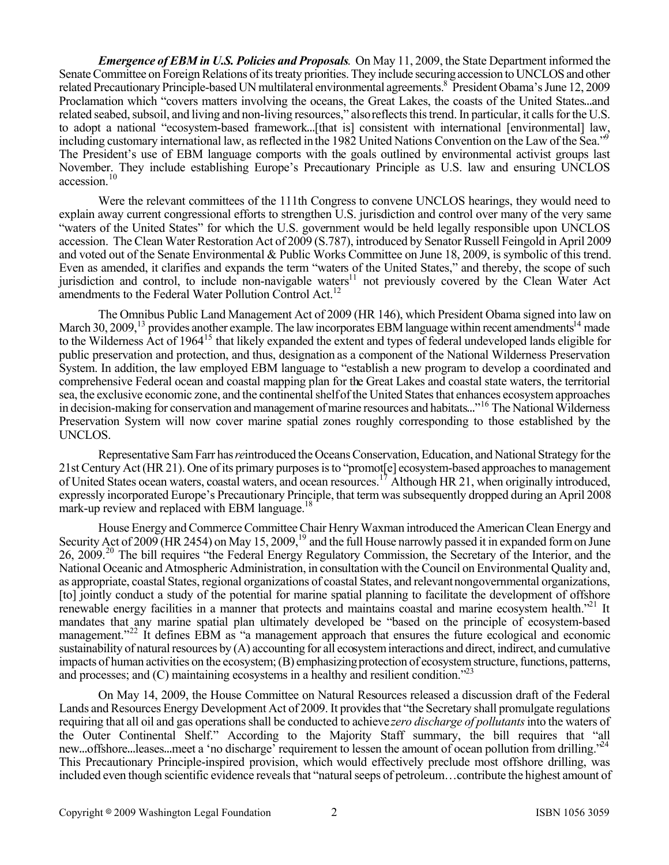*Emergence of EBM in U.S. Policies and Proposals*. On May 11, 2009, the State Department informed the Senate Committee on Foreign Relations of its treaty priorities. They include securing accession to UNCLOS and other related Precautionary Principle-based UN multilateral environmental agreements.<sup>8</sup> President Obama's June 12, 2009 Proclamation which "covers matters involving the oceans, the Great Lakes, the coasts of the United States...and related seabed, subsoil, and living and non-living resources," also reflects this trend. In particular, it calls for the U.S. to adopt a national "ecosystem-based framework...[that is] consistent with international [environmental] law, including customary international law, as reflected in the 1982 United Nations Convention on the Law of the Sea."<sup>5</sup> The President's use of EBM language comports with the goals outlined by environmental activist groups last November. They include establishing Europe's Precautionary Principle as U.S. law and ensuring UNCLOS accession.<sup>[10](#page-3-1)</sup>

 Were the relevant committees of the 111th Congress to convene UNCLOS hearings, they would need to explain away current congressional efforts to strengthen U.S. jurisdiction and control over many of the very same "waters of the United States" for which the U.S. government would be held legally responsible upon UNCLOS accession. The Clean Water Restoration Act of 2009 (S.787), introduced by Senator Russell Feingold in April 2009 and voted out of the Senate Environmental & Public Works Committee on June 18, 2009, is symbolic of this trend. Even as amended, it clarifies and expands the term "waters of the United States," and thereby, the scope of such jurisdiction and control, to include non-navigable waters<sup>11</sup> not previously covered by the Clean Water Act amendments to the Federal Water Pollution Control Act.<sup>12</sup>

 The Omnibus Public Land Management Act of 2009 (HR 146), which President Obama signed into law on March 30, 2009,<sup>[13](#page-3-4)</sup> provides another example. The law incorporates EBM language within recent amendments<sup>14</sup> made to the Wilderness Act of 1964<sup>[15](#page-3-6)</sup> that likely expanded the extent and types of federal undeveloped lands eligible for public preservation and protection, and thus, designation as a component of the National Wilderness Preservation System. In addition, the law employed EBM language to "establish a new program to develop a coordinated and comprehensive Federal ocean and coastal mapping plan for the Great Lakes and coastal state waters, the territorial sea, the exclusive economic zone, and the continental shelf of the United States that enhances ecosystem approaches in decision-making for conservation and management of marine resources and habitats..."<sup>[16](#page-3-7)</sup> The National Wilderness Preservation System will now cover marine spatial zones roughly corresponding to those established by the UNCLOS.

 Representative Sam Farr has *re*introduced the Oceans Conservation, Education, and National Strategy for the 21st Century Act (HR 21). One of its primary purposes is to "promot[e] ecosystem-based approaches to management of United States ocean waters, coastal waters, and ocean resources.[17](#page-3-8) Although HR 21, when originally introduced, expressly incorporated Europe's Precautionary Principle, that term was subsequently dropped during an April 2008 mark-up review and replaced with EBM language.<sup>18</sup>

 House Energy and Commerce Committee Chair Henry Waxman introduced the American Clean Energy and Security Act of 2009 (HR 2454) on May 15, 2009,<sup>19</sup> and the full House narrowly passed it in expanded form on June 26, 2009.[20](#page-3-11) The bill requires "the Federal Energy Regulatory Commission, the Secretary of the Interior, and the National Oceanic and Atmospheric Administration, in consultation with the Council on Environmental Quality and, as appropriate, coastal States, regional organizations of coastal States, and relevant nongovernmental organizations, [to] jointly conduct a study of the potential for marine spatial planning to facilitate the development of offshore renewable energy facilities in a manner that protects and maintains coastal and marine ecosystem health."<sup>21</sup> It mandates that any marine spatial plan ultimately developed be "based on the principle of ecosystem-based management."<sup>[22](#page-3-13)</sup> It defines EBM as "a management approach that ensures the future ecological and economic sustainability of natural resources by (A) accounting for all ecosystem interactions and direct, indirect, and cumulative impacts of human activities on the ecosystem; (B) emphasizing protection of ecosystem structure, functions, patterns, and processes; and (C) maintaining ecosystems in a healthy and resilient condition."<sup>23</sup>

 On May 14, 2009, the House Committee on Natural Resources released a discussion draft of the Federal Lands and Resources Energy Development Act of 2009. It provides that "the Secretary shall promulgate regulations requiring that all oil and gas operations shall be conducted to achieve *zero discharge of pollutants* into the waters of the Outer Continental Shelf." According to the Majority Staff summary, the bill requires that "all new...offshore...leases...meet a 'no discharge' requirement to lessen the amount of ocean pollution from drilling."<sup>24</sup> This Precautionary Principle-inspired provision, which would effectively preclude most offshore drilling, was included even though scientific evidence reveals that "natural seeps of petroleum…contribute the highest amount of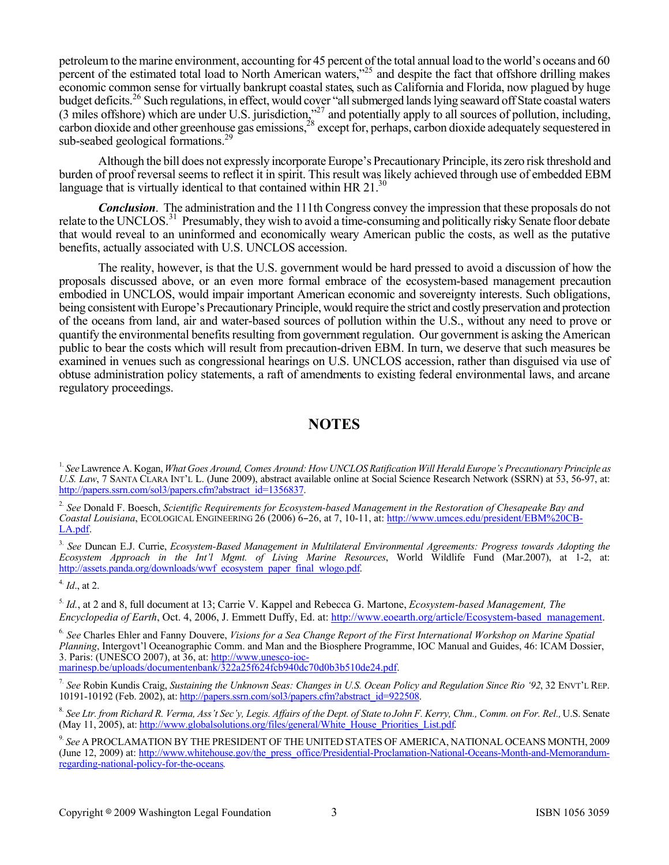petroleum to the marine environment, accounting for 45 percent of the total annual load to the world's oceans and 60 percent of the estimated total load to North American waters,"[25](#page-3-15) and despite the fact that offshore drilling makes economic common sense for virtually bankrupt coastal states, such as California and Florida, now plagued by huge budget deficits.<sup>[26](#page-3-16)</sup> Such regulations, in effect, would cover "all submerged lands lying seaward off State coastal waters (3 miles offshore) which are under U.S. jurisdiction,"<sup>27</sup> and potentially apply to all sources of pollution, including, carbon dioxide and other greenhouse gas emissions,<sup>[28](#page-3-18)</sup> except for, perhaps, carbon dioxide adequately sequestered in sub-seabed geological formations.<sup>2</sup>

 Although the bill does not expressly incorporate Europe's Precautionary Principle, its zero risk threshold and burden of proof reversal seems to reflect it in spirit. This result was likely achieved through use of embedded EBM language that is virtually identical to that contained within HR 21.<sup>30</sup>

*Conclusion*. The administration and the 111th Congress convey the impression that these proposals do not relate to the UNCLOS.<sup>[31](#page-3-21)</sup> Presumably, they wish to avoid a time-consuming and politically risky Senate floor debate that would reveal to an uninformed and economically weary American public the costs, as well as the putative benefits, actually associated with U.S. UNCLOS accession.

 The reality, however, is that the U.S. government would be hard pressed to avoid a discussion of how the proposals discussed above, or an even more formal embrace of the ecosystem-based management precaution embodied in UNCLOS, would impair important American economic and sovereignty interests. Such obligations, being consistent with Europe's Precautionary Principle, would require the strict and costly preservation and protection of the oceans from land, air and water-based sources of pollution within the U.S., without any need to prove or quantify the environmental benefits resulting from government regulation. Our government is asking the American public to bear the costs which will result from precaution-driven EBM. In turn, we deserve that such measures be examined in venues such as congressional hearings on U.S. UNCLOS accession, rather than disguised via use of obtuse administration policy statements, a raft of amendments to existing federal environmental laws, and arcane regulatory proceedings.

## **NOTES**

<span id="page-2-3"></span>3. *See* Duncan E.J. Currie, *Ecosystem-Based Management in Multilateral Environmental Agreements: Progress towards Adopting the Ecosystem Approach in the Int'l Mgmt. of Living Marine Resources*, World Wildlife Fund (Mar.2007), at 1-2, at: http://assets.panda.org/downloads/wwf\_ecosystem\_paper\_final\_wlogo.pdf.

<span id="page-2-4"></span>4. *Id*., at 2.

<span id="page-2-5"></span>5. *Id.*, at 2 and 8, full document at 13; Carrie V. Kappel and Rebecca G. Martone, *Ecosystem-based Management, The Encyclopedia of Earth*, Oct. 4, 2006, J. Emmett Duffy, Ed. at: [http://www.eoearth.org/article/Ecosystem-based\\_management.](http://www.eoearth.org/article/Ecosystem-based_management)

<span id="page-2-6"></span>6. *See* Charles Ehler and Fanny Douvere, *Visions for a Sea Change Report of the First International Workshop on Marine Spatial Planning*, Intergovt'l Oceanographic Comm. and Man and the Biosphere Programme, IOC Manual and Guides, 46: ICAM Dossier, 3. Paris: (UNESCO 2007), at 36, at: http://www.unesco-iocmarinesp.be/uploads/documentenbank/322a25f624fcb940dc70d0b3b510de24.pdf.

<span id="page-2-0"></span>7. *See* Robin Kundis Craig, *Sustaining the Unknown Seas: Changes in U.S. Ocean Policy and Regulation Since Rio '92*, 32 ENVT'L REP. 10191-10192 (Feb. 2002), at: http://papers.ssrn.com/sol3/papers.cfm?abstract\_id=922508.

<span id="page-2-7"></span>8. *See Ltr. from Richard R. Verma, Ass't Sec'y, Legis. Affairs of the Dept. of State to John F. Kerry, Chm., Comm. on For. Rel.,* U.S. Senate (May 11, 2005), at: http://www.globalsolutions.org/files/general/White\_House\_Priorities\_List.pdf.

<span id="page-2-8"></span>9. *See* A PROCLAMATION BY THE PRESIDENT OF THE UNITED STATES OF AMERICA, NATIONAL OCEANS MONTH, 2009 (June 12, 2009) at: http://www.whitehouse.gov/the\_press\_office/Presidential-Proclamation-National-Oceans-Month-and-Memorandumregarding-national-policy-for-the-oceans.

<span id="page-2-1"></span><sup>1.</sup> *See* Lawrence A. Kogan, *What Goes Around, Comes Around: How UNCLOS Ratification Will Herald Europe's Precautionary Principle as U.S. Law*, 7 SANTA CLARA INT'L L. (June 2009), abstract available online at Social Science Research Network (SSRN) at 53, 56-97, at: http://papers.ssrn.com/sol3/papers.cfm?abstract\_id=1356837.

<span id="page-2-2"></span><sup>2.</sup> *See* Donald F. Boesch, *Scientific Requirements for Ecosystem-based Management in the Restoration of Chesapeake Bay and Coastal Louisiana*, ECOLOGICAL ENGINEERING 26 (2006) 6-26, at 7, 10-11, at: http://www.umces.edu/president/EBM%20CB-LA.pdf.